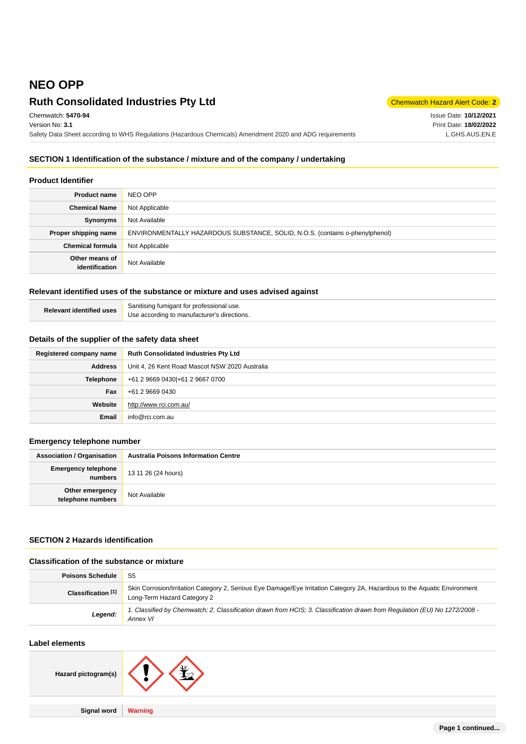# **NEO OPP**

# **Ruth Consolidated Industries Pty Ltd** Chemmatch Hazard Alert Code: 2

Chemwatch: **5470-94** Version No: **3.1** Safety Data Sheet according to WHS Regulations (Hazardous Chemicals) Amendment 2020 and ADG requirements

Issue Date: **10/12/2021** Print Date: **18/02/2022** L.GHS.AUS.EN.E

# **SECTION 1 Identification of the substance / mixture and of the company / undertaking**

### **Product Identifier**

| <b>Product name</b>              | NEO OPP                                                                      |
|----------------------------------|------------------------------------------------------------------------------|
| <b>Chemical Name</b>             | Not Applicable                                                               |
| Synonyms                         | Not Available                                                                |
| Proper shipping name             | ENVIRONMENTALLY HAZARDOUS SUBSTANCE, SOLID, N.O.S. (contains o-phenylphenol) |
| <b>Chemical formula</b>          | Not Applicable                                                               |
| Other means of<br>identification | Not Available                                                                |

# **Relevant identified uses of the substance or mixture and uses advised against**

| <b>Relevant identified uses</b> | Sanitising fumigant for professional use.   |
|---------------------------------|---------------------------------------------|
|                                 | Use according to manufacturer's directions. |

#### **Details of the supplier of the safety data sheet**

| Registered company name | <b>Ruth Consolidated Industries Pty Ltd</b>    |
|-------------------------|------------------------------------------------|
| <b>Address</b>          | Unit 4, 26 Kent Road Mascot NSW 2020 Australia |
| <b>Telephone</b>        | +61 2 9669 0430 + 61 2 9667 0700               |
| Fax                     | +61 2 9669 0430                                |
| Website                 | http://www.rci.com.au/                         |
| <b>Email</b>            | info@rci.com.au                                |

## **Emergency telephone number**

| <b>Association / Organisation</b>     | <b>Australia Poisons Information Centre</b> |
|---------------------------------------|---------------------------------------------|
| <b>Emergency telephone</b><br>numbers | 13 11 26 (24 hours)                         |
| Other emergency<br>telephone numbers  | Not Available                               |

# **SECTION 2 Hazards identification**

#### **Classification of the substance or mixture**

| <b>Poisons Schedule</b> | -S5                                                                                                                                                      |
|-------------------------|----------------------------------------------------------------------------------------------------------------------------------------------------------|
| Classification [1]      | Skin Corrosion/Irritation Category 2, Serious Eye Damage/Eye Irritation Category 2A, Hazardous to the Aquatic Environment<br>Long-Term Hazard Category 2 |
| Legend:                 | 1. Classified by Chemwatch; 2. Classification drawn from HCIS; 3. Classification drawn from Regulation (EU) No 1272/2008 -<br>Annex VI                   |

# **Label elements**

| Hazard pictogram(s) |         |
|---------------------|---------|
|                     |         |
| <b>Signal word</b>  | Warning |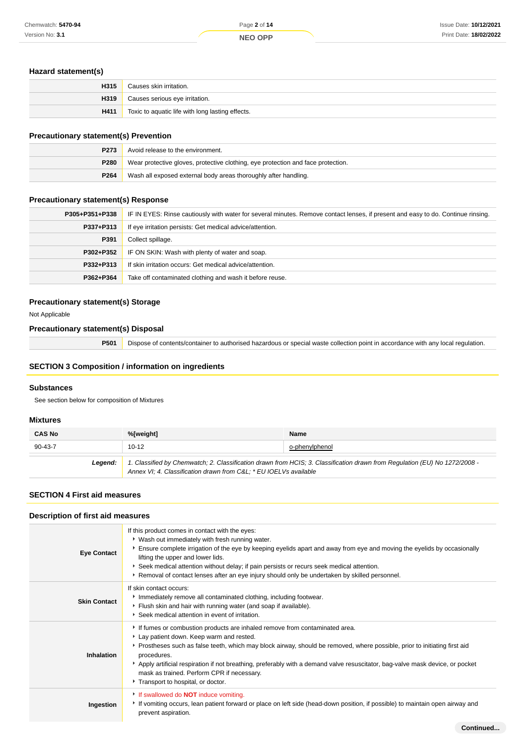## **Hazard statement(s)**

| H315 | Causes skin irritation.                          |
|------|--------------------------------------------------|
| H319 | Causes serious eye irritation.                   |
| H411 | Toxic to aquatic life with long lasting effects. |

# **Precautionary statement(s) Prevention**

| <b>P273</b> | Avoid release to the environment.                                                |
|-------------|----------------------------------------------------------------------------------|
| <b>P280</b> | Wear protective gloves, protective clothing, eye protection and face protection. |
| P264        | Wash all exposed external body areas thoroughly after handling.                  |

# **Precautionary statement(s) Response**

| P305+P351+P338 | IF IN EYES: Rinse cautiously with water for several minutes. Remove contact lenses, if present and easy to do. Continue rinsing. |  |  |
|----------------|----------------------------------------------------------------------------------------------------------------------------------|--|--|
| P337+P313      | If eye irritation persists: Get medical advice/attention.                                                                        |  |  |
| P391           | Collect spillage.                                                                                                                |  |  |
| P302+P352      | IF ON SKIN: Wash with plenty of water and soap.                                                                                  |  |  |
| P332+P313      | If skin irritation occurs: Get medical advice/attention.                                                                         |  |  |
| P362+P364      | Take off contaminated clothing and wash it before reuse.                                                                         |  |  |

### **Precautionary statement(s) Storage**

Not Applicable

#### **Precautionary statement(s) Disposal**

**P501** Dispose of contents/container to authorised hazardous or special waste collection point in accordance with any local regulation.

# **SECTION 3 Composition / information on ingredients**

## **Substances**

See section below for composition of Mixtures

### **Mixtures**

| <b>CAS No</b> | %[weight]                                                                                                                                                                                      | <b>Name</b>    |
|---------------|------------------------------------------------------------------------------------------------------------------------------------------------------------------------------------------------|----------------|
| $90 - 43 - 7$ | $10-12$                                                                                                                                                                                        | o-phenylphenol |
| Leaend:       | 1. Classified by Chemwatch; 2. Classification drawn from HCIS; 3. Classification drawn from Regulation (EU) No 1272/2008 -<br>Annex VI; 4. Classification drawn from C&L * EU IOELVs available |                |

# **SECTION 4 First aid measures**

# **Description of first aid measures**

| <b>Eye Contact</b>  | If this product comes in contact with the eyes:<br>* Wash out immediately with fresh running water.<br>Ensure complete irrigation of the eye by keeping eyelids apart and away from eye and moving the eyelids by occasionally<br>lifting the upper and lower lids.<br>Seek medical attention without delay; if pain persists or recurs seek medical attention.<br>▶ Removal of contact lenses after an eye injury should only be undertaken by skilled personnel.                  |
|---------------------|-------------------------------------------------------------------------------------------------------------------------------------------------------------------------------------------------------------------------------------------------------------------------------------------------------------------------------------------------------------------------------------------------------------------------------------------------------------------------------------|
| <b>Skin Contact</b> | If skin contact occurs:<br>Immediately remove all contaminated clothing, including footwear.<br>Flush skin and hair with running water (and soap if available).<br>Seek medical attention in event of irritation.                                                                                                                                                                                                                                                                   |
| <b>Inhalation</b>   | If fumes or combustion products are inhaled remove from contaminated area.<br>Lay patient down. Keep warm and rested.<br>Prostheses such as false teeth, which may block airway, should be removed, where possible, prior to initiating first aid<br>procedures.<br>Apply artificial respiration if not breathing, preferably with a demand valve resuscitator, bag-valve mask device, or pocket<br>mask as trained. Perform CPR if necessary.<br>Transport to hospital, or doctor. |
| Ingestion           | If swallowed do <b>NOT</b> induce vomiting.<br>If vomiting occurs, lean patient forward or place on left side (head-down position, if possible) to maintain open airway and<br>prevent aspiration.                                                                                                                                                                                                                                                                                  |
|                     | Continued                                                                                                                                                                                                                                                                                                                                                                                                                                                                           |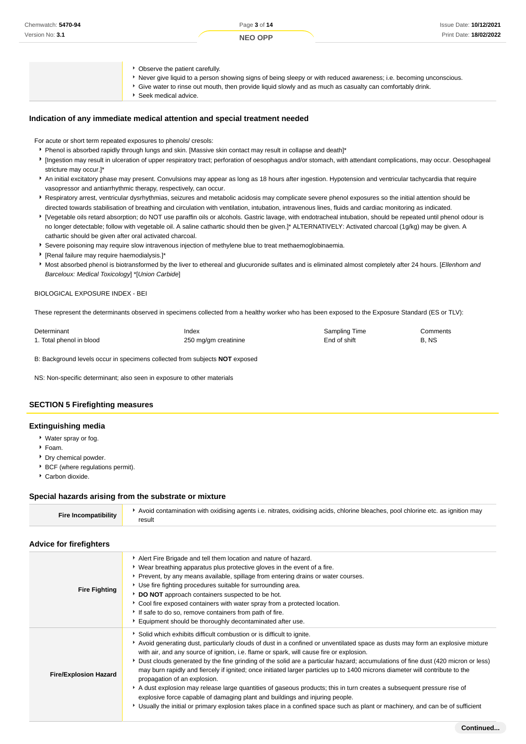- Observe the patient carefully.
- Never give liquid to a person showing signs of being sleepy or with reduced awareness; i.e. becoming unconscious.
- Give water to rinse out mouth, then provide liquid slowly and as much as casualty can comfortably drink.
- Seek medical advice.

#### **Indication of any immediate medical attention and special treatment needed**

For acute or short term repeated exposures to phenols/ cresols:

- Phenol is absorbed rapidly through lungs and skin. [Massive skin contact may result in collapse and death]\*
- [Ingestion may result in ulceration of upper respiratory tract; perforation of oesophagus and/or stomach, with attendant complications, may occur. Oesophageal stricture may occur.]\*
- An initial excitatory phase may present. Convulsions may appear as long as 18 hours after ingestion. Hypotension and ventricular tachycardia that require vasopressor and antiarrhythmic therapy, respectively, can occur.
- Respiratory arrest, ventricular dysrhythmias, seizures and metabolic acidosis may complicate severe phenol exposures so the initial attention should be directed towards stabilisation of breathing and circulation with ventilation, intubation, intravenous lines, fluids and cardiac monitoring as indicated.
- [Vegetable oils retard absorption; do NOT use paraffin oils or alcohols. Gastric lavage, with endotracheal intubation, should be repeated until phenol odour is no longer detectable; follow with vegetable oil. A saline cathartic should then be given.]\* ALTERNATIVELY: Activated charcoal (1g/kg) may be given. A cathartic should be given after oral activated charcoal.
- Severe poisoning may require slow intravenous injection of methylene blue to treat methaemoglobinaemia.
- [Renal failure may require haemodialysis.]\*
- Most absorbed phenol is biotransformed by the liver to ethereal and glucuronide sulfates and is eliminated almost completely after 24 hours. [Ellenhorn and Barceloux: Medical Toxicology] \*[Union Carbide]

#### BIOLOGICAL EXPOSURE INDEX - BEI

These represent the determinants observed in specimens collected from a healthy worker who has been exposed to the Exposure Standard (ES or TLV):

| Determinant              | Index                | Sampling Time | Comments |
|--------------------------|----------------------|---------------|----------|
| 1. Total phenol in blood | 250 mg/gm creatinine | End of shift  | B, NS    |

B: Background levels occur in specimens collected from subjects **NOT** exposed

NS: Non-specific determinant; also seen in exposure to other materials

#### **SECTION 5 Firefighting measures**

#### **Extinguishing media**

- Water spray or fog.
- Foam.
- **Dry chemical powder.**
- BCF (where regulations permit).
- Carbon dioxide.

#### **Special hazards arising from the substrate or mixture**

| Avoid contamination with oxidising agents i.e. nitrates, oxidising acids, chlorine bleaches, pool chlorine etc. as ignition may<br><b>Fire Incompatibility</b><br>result |
|--------------------------------------------------------------------------------------------------------------------------------------------------------------------------|
|--------------------------------------------------------------------------------------------------------------------------------------------------------------------------|

#### **Advice for firefighters**

| <b>Fire Fighting</b>         | Alert Fire Brigade and tell them location and nature of hazard.<br>• Wear breathing apparatus plus protective gloves in the event of a fire.<br>Prevent, by any means available, spillage from entering drains or water courses.<br>• Use fire fighting procedures suitable for surrounding area.<br>DO NOT approach containers suspected to be hot.<br>▶ Cool fire exposed containers with water spray from a protected location.<br>If safe to do so, remove containers from path of fire.<br>Equipment should be thoroughly decontaminated after use.                                                                                                                                                                                                                                                                                                                                                                                            |
|------------------------------|-----------------------------------------------------------------------------------------------------------------------------------------------------------------------------------------------------------------------------------------------------------------------------------------------------------------------------------------------------------------------------------------------------------------------------------------------------------------------------------------------------------------------------------------------------------------------------------------------------------------------------------------------------------------------------------------------------------------------------------------------------------------------------------------------------------------------------------------------------------------------------------------------------------------------------------------------------|
| <b>Fire/Explosion Hazard</b> | Solid which exhibits difficult combustion or is difficult to ignite.<br>Avoid generating dust, particularly clouds of dust in a confined or unventilated space as dusts may form an explosive mixture<br>with air, and any source of ignition, i.e. flame or spark, will cause fire or explosion.<br>> Dust clouds generated by the fine grinding of the solid are a particular hazard; accumulations of fine dust (420 micron or less)<br>may burn rapidly and fiercely if ignited; once initiated larger particles up to 1400 microns diameter will contribute to the<br>propagation of an explosion.<br>A dust explosion may release large quantities of gaseous products; this in turn creates a subsequent pressure rise of<br>explosive force capable of damaging plant and buildings and injuring people.<br>► Usually the initial or primary explosion takes place in a confined space such as plant or machinery, and can be of sufficient |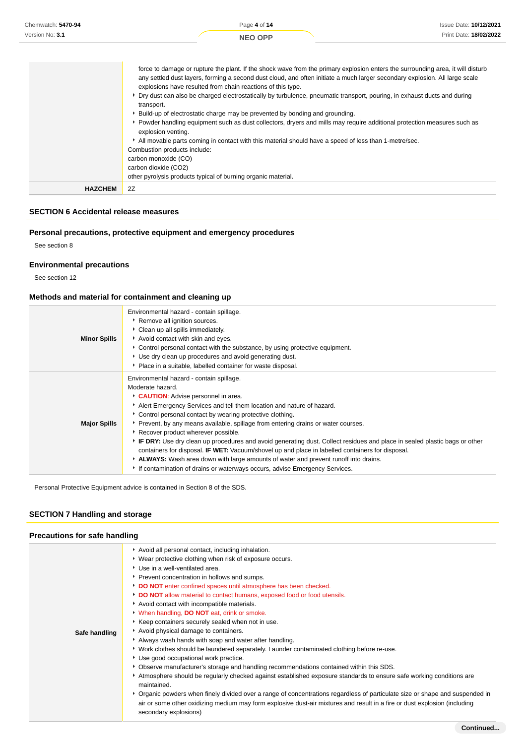| Chemwatch: 5470-94 | Page 4 of 14                                                                                                                                                                                                                                                                                                                                                                                                                                                                                                                                                                                                                                                                                                                                                                                                                                                                                                                                                         | <b>Issue Date: 10/12/2021</b> |
|--------------------|----------------------------------------------------------------------------------------------------------------------------------------------------------------------------------------------------------------------------------------------------------------------------------------------------------------------------------------------------------------------------------------------------------------------------------------------------------------------------------------------------------------------------------------------------------------------------------------------------------------------------------------------------------------------------------------------------------------------------------------------------------------------------------------------------------------------------------------------------------------------------------------------------------------------------------------------------------------------|-------------------------------|
| Version No: 3.1    | <b>NEO OPP</b>                                                                                                                                                                                                                                                                                                                                                                                                                                                                                                                                                                                                                                                                                                                                                                                                                                                                                                                                                       | Print Date: 18/02/2022        |
|                    | force to damage or rupture the plant. If the shock wave from the primary explosion enters the surrounding area, it will disturb<br>any settled dust layers, forming a second dust cloud, and often initiate a much larger secondary explosion. All large scale<br>explosions have resulted from chain reactions of this type.<br>▶ Dry dust can also be charged electrostatically by turbulence, pneumatic transport, pouring, in exhaust ducts and during<br>transport.<br>► Build-up of electrostatic charge may be prevented by bonding and grounding.<br>• Powder handling equipment such as dust collectors, dryers and mills may require additional protection measures such as<br>explosion venting.<br>All movable parts coming in contact with this material should have a speed of less than 1-metre/sec.<br>Combustion products include:<br>carbon monoxide (CO)<br>carbon dioxide (CO2)<br>other pyrolysis products typical of burning organic material. |                               |
| <b>HAZCHEM</b>     | 2Z                                                                                                                                                                                                                                                                                                                                                                                                                                                                                                                                                                                                                                                                                                                                                                                                                                                                                                                                                                   |                               |

# **SECTION 6 Accidental release measures**

# **Personal precautions, protective equipment and emergency procedures**

See section 8

# **Environmental precautions**

See section 12

# **Methods and material for containment and cleaning up**

| <b>Minor Spills</b> | Environmental hazard - contain spillage.<br>▶ Remove all ignition sources.<br>Clean up all spills immediately.<br>Avoid contact with skin and eyes.<br>► Control personal contact with the substance, by using protective equipment.<br>Use dry clean up procedures and avoid generating dust.<br>• Place in a suitable, labelled container for waste disposal.                                                                                                                                                                                                                                                                                                                                                                                                                     |
|---------------------|-------------------------------------------------------------------------------------------------------------------------------------------------------------------------------------------------------------------------------------------------------------------------------------------------------------------------------------------------------------------------------------------------------------------------------------------------------------------------------------------------------------------------------------------------------------------------------------------------------------------------------------------------------------------------------------------------------------------------------------------------------------------------------------|
| <b>Major Spills</b> | Environmental hazard - contain spillage.<br>Moderate hazard.<br>CAUTION: Advise personnel in area.<br>Alert Emergency Services and tell them location and nature of hazard.<br>Control personal contact by wearing protective clothing.<br>▶ Prevent, by any means available, spillage from entering drains or water courses.<br>▶ Recover product wherever possible.<br>F IF DRY: Use dry clean up procedures and avoid generating dust. Collect residues and place in sealed plastic bags or other<br>containers for disposal. <b>IF WET:</b> Vacuum/shovel up and place in labelled containers for disposal.<br>ALWAYS: Wash area down with large amounts of water and prevent runoff into drains.<br>If contamination of drains or waterways occurs, advise Emergency Services. |

Personal Protective Equipment advice is contained in Section 8 of the SDS.

# **SECTION 7 Handling and storage**

# **Precautions for safe handling**

| Avoid all personal contact, including inhalation.<br>▸ Wear protective clothing when risk of exposure occurs.<br>Use in a well-ventilated area.<br>Prevent concentration in hollows and sumps.<br>DO NOT enter confined spaces until atmosphere has been checked.<br>DO NOT allow material to contact humans, exposed food or food utensils.<br>Avoid contact with incompatible materials.<br>When handling, <b>DO NOT</b> eat, drink or smoke.<br>Keep containers securely sealed when not in use.<br>Avoid physical damage to containers.<br>Safe handling<br>Always wash hands with soap and water after handling.<br>▶ Work clothes should be laundered separately. Launder contaminated clothing before re-use.<br>Use good occupational work practice.<br>Observe manufacturer's storage and handling recommendations contained within this SDS.<br>Atmosphere should be regularly checked against established exposure standards to ensure safe working conditions are<br>maintained.<br>• Organic powders when finely divided over a range of concentrations regardless of particulate size or shape and suspended in<br>air or some other oxidizing medium may form explosive dust-air mixtures and result in a fire or dust explosion (including<br>secondary explosions) |  |
|-------------------------------------------------------------------------------------------------------------------------------------------------------------------------------------------------------------------------------------------------------------------------------------------------------------------------------------------------------------------------------------------------------------------------------------------------------------------------------------------------------------------------------------------------------------------------------------------------------------------------------------------------------------------------------------------------------------------------------------------------------------------------------------------------------------------------------------------------------------------------------------------------------------------------------------------------------------------------------------------------------------------------------------------------------------------------------------------------------------------------------------------------------------------------------------------------------------------------------------------------------------------------------------|--|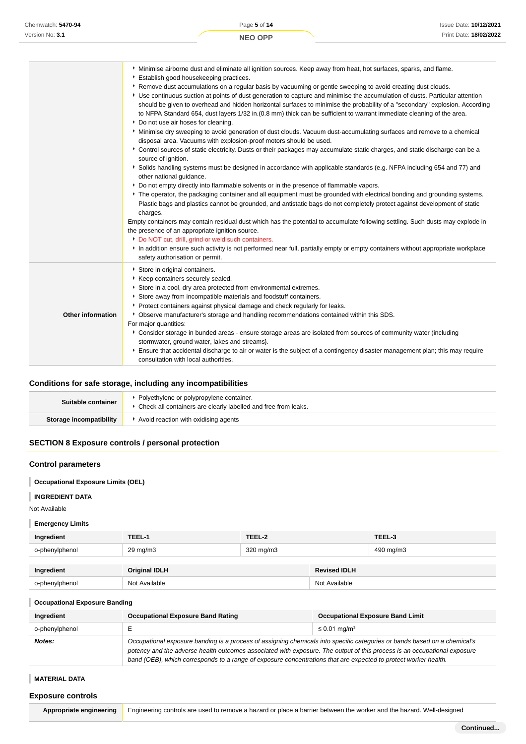|                   | Minimise airborne dust and eliminate all ignition sources. Keep away from heat, hot surfaces, sparks, and flame.                                                                                                                                                                                                                                                                                                            |
|-------------------|-----------------------------------------------------------------------------------------------------------------------------------------------------------------------------------------------------------------------------------------------------------------------------------------------------------------------------------------------------------------------------------------------------------------------------|
|                   | Establish good housekeeping practices.<br>▶ Remove dust accumulations on a regular basis by vacuuming or gentle sweeping to avoid creating dust clouds.                                                                                                                                                                                                                                                                     |
|                   | Use continuous suction at points of dust generation to capture and minimise the accumulation of dusts. Particular attention<br>should be given to overhead and hidden horizontal surfaces to minimise the probability of a "secondary" explosion. According<br>to NFPA Standard 654, dust layers 1/32 in. (0.8 mm) thick can be sufficient to warrant immediate cleaning of the area.<br>Do not use air hoses for cleaning. |
|                   | Minimise dry sweeping to avoid generation of dust clouds. Vacuum dust-accumulating surfaces and remove to a chemical<br>disposal area. Vacuums with explosion-proof motors should be used.                                                                                                                                                                                                                                  |
|                   | Control sources of static electricity. Dusts or their packages may accumulate static charges, and static discharge can be a<br>source of ignition.                                                                                                                                                                                                                                                                          |
|                   | Solids handling systems must be designed in accordance with applicable standards (e.g. NFPA including 654 and 77) and<br>other national guidance.                                                                                                                                                                                                                                                                           |
|                   | ▶ Do not empty directly into flammable solvents or in the presence of flammable vapors.                                                                                                                                                                                                                                                                                                                                     |
|                   | ▶ The operator, the packaging container and all equipment must be grounded with electrical bonding and grounding systems.                                                                                                                                                                                                                                                                                                   |
|                   | Plastic bags and plastics cannot be grounded, and antistatic bags do not completely protect against development of static<br>charges.                                                                                                                                                                                                                                                                                       |
|                   | Empty containers may contain residual dust which has the potential to accumulate following settling. Such dusts may explode in<br>the presence of an appropriate ignition source.                                                                                                                                                                                                                                           |
|                   | Do NOT cut, drill, grind or weld such containers.                                                                                                                                                                                                                                                                                                                                                                           |
|                   | In addition ensure such activity is not performed near full, partially empty or empty containers without appropriate workplace<br>safety authorisation or permit.                                                                                                                                                                                                                                                           |
|                   | Store in original containers.                                                                                                                                                                                                                                                                                                                                                                                               |
|                   | ▶ Keep containers securely sealed.                                                                                                                                                                                                                                                                                                                                                                                          |
|                   | Store in a cool, dry area protected from environmental extremes.                                                                                                                                                                                                                                                                                                                                                            |
|                   | Store away from incompatible materials and foodstuff containers.                                                                                                                                                                                                                                                                                                                                                            |
|                   | Protect containers against physical damage and check regularly for leaks.                                                                                                                                                                                                                                                                                                                                                   |
| Other information | ▶ Observe manufacturer's storage and handling recommendations contained within this SDS.                                                                                                                                                                                                                                                                                                                                    |
|                   | For major quantities:                                                                                                                                                                                                                                                                                                                                                                                                       |
|                   | Consider storage in bunded areas - ensure storage areas are isolated from sources of community water (including                                                                                                                                                                                                                                                                                                             |
|                   | stormwater, ground water, lakes and streams}.                                                                                                                                                                                                                                                                                                                                                                               |
|                   | Ensure that accidental discharge to air or water is the subject of a contingency disaster management plan; this may require<br>consultation with local authorities.                                                                                                                                                                                                                                                         |

# **Conditions for safe storage, including any incompatibilities**

| Suitable container      | Polyethylene or polypropylene container.<br>Check all containers are clearly labelled and free from leaks. |  |
|-------------------------|------------------------------------------------------------------------------------------------------------|--|
| Storage incompatibility | Avoid reaction with oxidising agents                                                                       |  |

# **SECTION 8 Exposure controls / personal protection**

# **Control parameters**

**Occupational Exposure Limits (OEL)**

#### I **INGREDIENT DATA**

Not Available

#### **Emergency Limits**

| Ingredient     | TEEL-1               | TEEL-2    |                     | TEEL-3    |
|----------------|----------------------|-----------|---------------------|-----------|
| o-phenylphenol | $29 \text{ mg/m}$    | 320 mg/m3 |                     | 490 mg/m3 |
| Ingredient     | <b>Original IDLH</b> |           | <b>Revised IDLH</b> |           |
| o-phenylphenol | Not Available        |           | Not Available       |           |

#### **Occupational Exposure Banding**

| Ingredient     | <b>Occupational Exposure Band Rating</b>                                                                                                                                                                                                                                                                                                                                 | <b>Occupational Exposure Band Limit</b> |  |
|----------------|--------------------------------------------------------------------------------------------------------------------------------------------------------------------------------------------------------------------------------------------------------------------------------------------------------------------------------------------------------------------------|-----------------------------------------|--|
| o-phenylphenol |                                                                                                                                                                                                                                                                                                                                                                          | $\leq$ 0.01 mg/m <sup>3</sup>           |  |
| Notes:         | Occupational exposure banding is a process of assigning chemicals into specific categories or bands based on a chemical's<br>potency and the adverse health outcomes associated with exposure. The output of this process is an occupational exposure<br>band (OEB), which corresponds to a range of exposure concentrations that are expected to protect worker health. |                                         |  |

#### **MATERIAL DATA**

#### **Exposure controls**

Appropriate engineering **Engineering controls are used to remove a hazard or place a barrier between the worker and the hazard. Well-designed**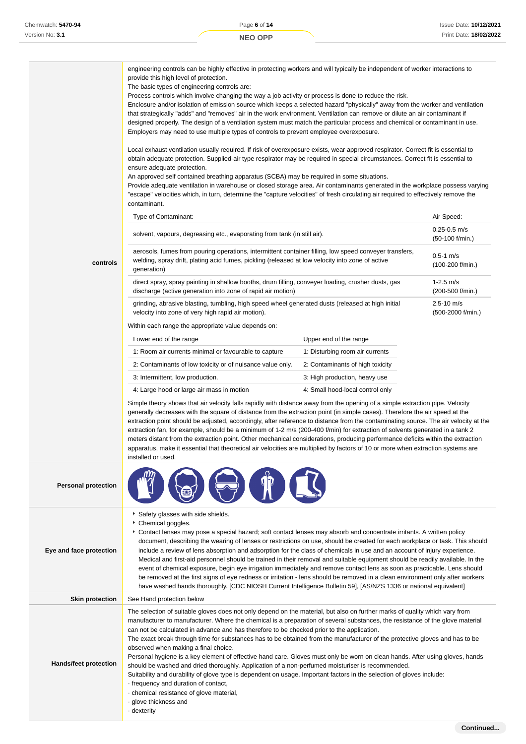engineering controls can be highly effective in protecting workers and will typically be independent of worker interactions to provide this high level of protection. The basic types of engineering controls are: Process controls which involve changing the way a job activity or process is done to reduce the risk.

Enclosure and/or isolation of emission source which keeps a selected hazard "physically" away from the worker and ventilation that strategically "adds" and "removes" air in the work environment. Ventilation can remove or dilute an air contaminant if designed properly. The design of a ventilation system must match the particular process and chemical or contaminant in use. Employers may need to use multiple types of controls to prevent employee overexposure.

Local exhaust ventilation usually required. If risk of overexposure exists, wear approved respirator. Correct fit is essential to obtain adequate protection. Supplied-air type respirator may be required in special circumstances. Correct fit is essential to ensure adequate protection.

An approved self contained breathing apparatus (SCBA) may be required in some situations.

Provide adequate ventilation in warehouse or closed storage area. Air contaminants generated in the workplace possess varying "escape" velocities which, in turn, determine the "capture velocities" of fresh circulating air required to effectively remove the contaminant.

| <b>Type of Contaminant:</b>                                                                                                                                                                                               | Air Speed:                          |
|---------------------------------------------------------------------------------------------------------------------------------------------------------------------------------------------------------------------------|-------------------------------------|
| solvent, vapours, degreasing etc., evaporating from tank (in still air).                                                                                                                                                  | $0.25 - 0.5$ m/s<br>(50-100 f/min.) |
| aerosols, fumes from pouring operations, intermittent container filling, low speed conveyer transfers,<br>welding, spray drift, plating acid fumes, pickling (released at low velocity into zone of active<br>generation) | $0.5 - 1$ m/s<br>$(100-200$ f/min.) |
| direct spray, spray painting in shallow booths, drum filling, conveyer loading, crusher dusts, gas<br>discharge (active generation into zone of rapid air motion)                                                         | $1-2.5$ m/s<br>(200-500 f/min.)     |
| grinding, abrasive blasting, tumbling, high speed wheel generated dusts (released at high initial<br>velocity into zone of very high rapid air motion).                                                                   | $2.5 - 10$ m/s<br>(500-2000 f/min.) |
| Within each range the appropriate value depends on:                                                                                                                                                                       |                                     |

**controls**

| Lower end of the range                                     | Upper end of the range           |  |  |
|------------------------------------------------------------|----------------------------------|--|--|
| 1: Room air currents minimal or favourable to capture      | 1: Disturbing room air currents  |  |  |
| 2: Contaminants of low toxicity or of nuisance value only. | 2: Contaminants of high toxicity |  |  |
| 3: Intermittent, low production.                           | 3: High production, heavy use    |  |  |
| 4: Large hood or large air mass in motion                  | 4: Small hood-local control only |  |  |

Simple theory shows that air velocity falls rapidly with distance away from the opening of a simple extraction pipe. Velocity generally decreases with the square of distance from the extraction point (in simple cases). Therefore the air speed at the extraction point should be adjusted, accordingly, after reference to distance from the contaminating source. The air velocity at the extraction fan, for example, should be a minimum of 1-2 m/s (200-400 f/min) for extraction of solvents generated in a tank 2 meters distant from the extraction point. Other mechanical considerations, producing performance deficits within the extraction apparatus, make it essential that theoretical air velocities are multiplied by factors of 10 or more when extraction systems are installed or used.

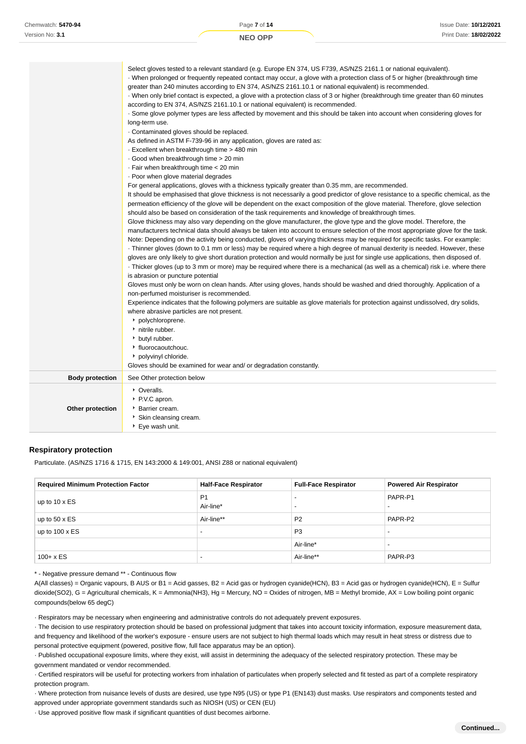| Version No: 3.1        | <b>NEO OPP</b>                                                                                                                                                                                                                                                                                                                                                                                                                                                                                                                                                                                                                                                                                                                                                                                                                                                                                                                                                                                                                                                                                                                                                                                                                                                                                                                                                                                                                                                                                                                                                                                                                                                                                                                                                                                                                                                                                                                                                                                                                                                                                                                                                                                                                                                                                                                                                                                                                                                                                                                                                                                                                                                                                                                                                                                                                                                                                 | Print Date: 18/02/2022 |  |
|------------------------|------------------------------------------------------------------------------------------------------------------------------------------------------------------------------------------------------------------------------------------------------------------------------------------------------------------------------------------------------------------------------------------------------------------------------------------------------------------------------------------------------------------------------------------------------------------------------------------------------------------------------------------------------------------------------------------------------------------------------------------------------------------------------------------------------------------------------------------------------------------------------------------------------------------------------------------------------------------------------------------------------------------------------------------------------------------------------------------------------------------------------------------------------------------------------------------------------------------------------------------------------------------------------------------------------------------------------------------------------------------------------------------------------------------------------------------------------------------------------------------------------------------------------------------------------------------------------------------------------------------------------------------------------------------------------------------------------------------------------------------------------------------------------------------------------------------------------------------------------------------------------------------------------------------------------------------------------------------------------------------------------------------------------------------------------------------------------------------------------------------------------------------------------------------------------------------------------------------------------------------------------------------------------------------------------------------------------------------------------------------------------------------------------------------------------------------------------------------------------------------------------------------------------------------------------------------------------------------------------------------------------------------------------------------------------------------------------------------------------------------------------------------------------------------------------------------------------------------------------------------------------------------------|------------------------|--|
|                        | Select gloves tested to a relevant standard (e.g. Europe EN 374, US F739, AS/NZS 2161.1 or national equivalent).<br>When prolonged or frequently repeated contact may occur, a glove with a protection class of 5 or higher (breakthrough time<br>greater than 240 minutes according to EN 374, AS/NZS 2161.10.1 or national equivalent) is recommended.<br>When only brief contact is expected, a glove with a protection class of 3 or higher (breakthrough time greater than 60 minutes<br>according to EN 374, AS/NZS 2161.10.1 or national equivalent) is recommended.<br>- Some glove polymer types are less affected by movement and this should be taken into account when considering gloves for<br>long-term use.<br>Contaminated gloves should be replaced.<br>As defined in ASTM F-739-96 in any application, gloves are rated as:<br>Excellent when breakthrough time > 480 min<br>Good when breakthrough time > 20 min<br>- Fair when breakthrough time < 20 min<br>· Poor when glove material degrades<br>For general applications, gloves with a thickness typically greater than 0.35 mm, are recommended.<br>It should be emphasised that glove thickness is not necessarily a good predictor of glove resistance to a specific chemical, as the<br>permeation efficiency of the glove will be dependent on the exact composition of the glove material. Therefore, glove selection<br>should also be based on consideration of the task requirements and knowledge of breakthrough times.<br>Glove thickness may also vary depending on the glove manufacturer, the glove type and the glove model. Therefore, the<br>manufacturers technical data should always be taken into account to ensure selection of the most appropriate glove for the task.<br>Note: Depending on the activity being conducted, gloves of varying thickness may be required for specific tasks. For example:<br>Thinner gloves (down to 0.1 mm or less) may be required where a high degree of manual dexterity is needed. However, these<br>gloves are only likely to give short duration protection and would normally be just for single use applications, then disposed of.<br>Thicker gloves (up to 3 mm or more) may be required where there is a mechanical (as well as a chemical) risk i.e. where there<br>is abrasion or puncture potential<br>Gloves must only be worn on clean hands. After using gloves, hands should be washed and dried thoroughly. Application of a<br>non-perfumed moisturiser is recommended.<br>Experience indicates that the following polymers are suitable as glove materials for protection against undissolved, dry solids,<br>where abrasive particles are not present.<br>• polychloroprene.<br>hitrile rubber.<br>butyl rubber.<br>▶ fluorocaoutchouc.<br>• polyvinyl chloride.<br>Gloves should be examined for wear and/ or degradation constantly. |                        |  |
| <b>Body protection</b> | See Other protection below                                                                                                                                                                                                                                                                                                                                                                                                                                                                                                                                                                                                                                                                                                                                                                                                                                                                                                                                                                                                                                                                                                                                                                                                                                                                                                                                                                                                                                                                                                                                                                                                                                                                                                                                                                                                                                                                                                                                                                                                                                                                                                                                                                                                                                                                                                                                                                                                                                                                                                                                                                                                                                                                                                                                                                                                                                                                     |                        |  |
| Other protection       | • Overalls.<br>P.V.C apron.<br>Barrier cream.<br>Skin cleansing cream.<br>▶ Eye wash unit.                                                                                                                                                                                                                                                                                                                                                                                                                                                                                                                                                                                                                                                                                                                                                                                                                                                                                                                                                                                                                                                                                                                                                                                                                                                                                                                                                                                                                                                                                                                                                                                                                                                                                                                                                                                                                                                                                                                                                                                                                                                                                                                                                                                                                                                                                                                                                                                                                                                                                                                                                                                                                                                                                                                                                                                                     |                        |  |

Page **7** of **14**

## **Respiratory protection**

Chemwatch: **5470-94**

Particulate. (AS/NZS 1716 & 1715, EN 143:2000 & 149:001, ANSI Z88 or national equivalent)

| <b>Required Minimum Protection Factor</b> | <b>Half-Face Respirator</b> | <b>Full-Face Respirator</b> | <b>Powered Air Respirator</b> |
|-------------------------------------------|-----------------------------|-----------------------------|-------------------------------|
| up to $10 \times ES$                      | P <sub>1</sub><br>Air-line* | <b>.</b>                    | PAPR-P1                       |
| up to $50 \times ES$                      | Air-line**                  | P <sub>2</sub>              | PAPR-P2                       |
| up to $100 \times ES$                     | $\overline{\phantom{0}}$    | P <sub>3</sub>              |                               |
|                                           |                             | Air-line*                   | $\overline{\phantom{0}}$      |
| $100 + x ES$                              | $\overline{\phantom{0}}$    | Air-line**                  | PAPR-P3                       |

\* - Negative pressure demand \*\* - Continuous flow

A(All classes) = Organic vapours, B AUS or B1 = Acid gasses, B2 = Acid gas or hydrogen cyanide(HCN), B3 = Acid gas or hydrogen cyanide(HCN), E = Sulfur dioxide(SO2), G = Agricultural chemicals, K = Ammonia(NH3), Hg = Mercury, NO = Oxides of nitrogen, MB = Methyl bromide, AX = Low boiling point organic compounds(below 65 degC)

· Respirators may be necessary when engineering and administrative controls do not adequately prevent exposures.

· The decision to use respiratory protection should be based on professional judgment that takes into account toxicity information, exposure measurement data, and frequency and likelihood of the worker's exposure - ensure users are not subject to high thermal loads which may result in heat stress or distress due to personal protective equipment (powered, positive flow, full face apparatus may be an option).

· Published occupational exposure limits, where they exist, will assist in determining the adequacy of the selected respiratory protection. These may be government mandated or vendor recommended.

· Certified respirators will be useful for protecting workers from inhalation of particulates when properly selected and fit tested as part of a complete respiratory protection program.

· Where protection from nuisance levels of dusts are desired, use type N95 (US) or type P1 (EN143) dust masks. Use respirators and components tested and approved under appropriate government standards such as NIOSH (US) or CEN (EU)

· Use approved positive flow mask if significant quantities of dust becomes airborne.

Issue Date: **10/12/2021**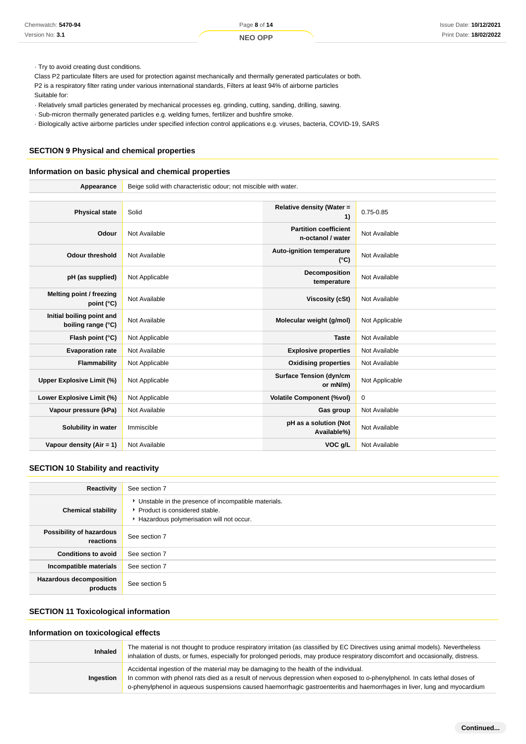- · Relatively small particles generated by mechanical processes eg. grinding, cutting, sanding, drilling, sawing.
- · Sub-micron thermally generated particles e.g. welding fumes, fertilizer and bushfire smoke.
- · Biologically active airborne particles under specified infection control applications e.g. viruses, bacteria, COVID-19, SARS

# **SECTION 9 Physical and chemical properties**

#### **Information on basic physical and chemical properties**

| Chemwatch: 5470-94                                                                                                                                                                                                                                                                                                                                                                                                                                                                                                                                                                                                                                               |                                                                           | Page 8 of 14                                                    |                                                                                       | <b>Issue Date: 10/12/202</b>                                                                                                                                                                                                                                        |
|------------------------------------------------------------------------------------------------------------------------------------------------------------------------------------------------------------------------------------------------------------------------------------------------------------------------------------------------------------------------------------------------------------------------------------------------------------------------------------------------------------------------------------------------------------------------------------------------------------------------------------------------------------------|---------------------------------------------------------------------------|-----------------------------------------------------------------|---------------------------------------------------------------------------------------|---------------------------------------------------------------------------------------------------------------------------------------------------------------------------------------------------------------------------------------------------------------------|
| Version No: 3.1                                                                                                                                                                                                                                                                                                                                                                                                                                                                                                                                                                                                                                                  |                                                                           | <b>NEO OPP</b>                                                  |                                                                                       | Print Date: 18/02/202                                                                                                                                                                                                                                               |
| Try to avoid creating dust conditions.<br>Class P2 particulate filters are used for protection against mechanically and thermally generated particulates or both.<br>P2 is a respiratory filter rating under various international standards, Filters at least 94% of airborne particles<br>Suitable for:<br>. Relatively small particles generated by mechanical processes eg. grinding, cutting, sanding, drilling, sawing.<br>· Sub-micron thermally generated particles e.g. welding fumes, fertilizer and bushfire smoke.<br>- Biologically active airborne particles under specified infection control applications e.g. viruses, bacteria, COVID-19, SARS |                                                                           |                                                                 |                                                                                       |                                                                                                                                                                                                                                                                     |
| <b>SECTION 9 Physical and chemical properties</b><br>Information on basic physical and chemical properties                                                                                                                                                                                                                                                                                                                                                                                                                                                                                                                                                       |                                                                           |                                                                 |                                                                                       |                                                                                                                                                                                                                                                                     |
| Appearance                                                                                                                                                                                                                                                                                                                                                                                                                                                                                                                                                                                                                                                       |                                                                           | Beige solid with characteristic odour; not miscible with water. |                                                                                       |                                                                                                                                                                                                                                                                     |
| <b>Physical state</b>                                                                                                                                                                                                                                                                                                                                                                                                                                                                                                                                                                                                                                            | Solid                                                                     |                                                                 | Relative density (Water =<br>1)                                                       | $0.75 - 0.85$                                                                                                                                                                                                                                                       |
| Odour                                                                                                                                                                                                                                                                                                                                                                                                                                                                                                                                                                                                                                                            | Not Available                                                             |                                                                 | <b>Partition coefficient</b><br>n-octanol / water                                     | Not Available                                                                                                                                                                                                                                                       |
| <b>Odour threshold</b>                                                                                                                                                                                                                                                                                                                                                                                                                                                                                                                                                                                                                                           | Not Available                                                             |                                                                 | <b>Auto-ignition temperature</b><br>(°C)                                              | Not Available                                                                                                                                                                                                                                                       |
| pH (as supplied)                                                                                                                                                                                                                                                                                                                                                                                                                                                                                                                                                                                                                                                 | Not Applicable                                                            |                                                                 | Decomposition<br>temperature                                                          | Not Available                                                                                                                                                                                                                                                       |
| Melting point / freezing<br>point $(^{\circ}C)$                                                                                                                                                                                                                                                                                                                                                                                                                                                                                                                                                                                                                  | Not Available                                                             |                                                                 | <b>Viscosity (cSt)</b>                                                                | Not Available                                                                                                                                                                                                                                                       |
| Initial boiling point and<br>boiling range (°C)                                                                                                                                                                                                                                                                                                                                                                                                                                                                                                                                                                                                                  | Not Available                                                             |                                                                 | Molecular weight (g/mol)                                                              | Not Applicable                                                                                                                                                                                                                                                      |
| Flash point (°C)                                                                                                                                                                                                                                                                                                                                                                                                                                                                                                                                                                                                                                                 | Not Applicable                                                            |                                                                 | <b>Taste</b>                                                                          | Not Available                                                                                                                                                                                                                                                       |
| <b>Evaporation rate</b>                                                                                                                                                                                                                                                                                                                                                                                                                                                                                                                                                                                                                                          | Not Available                                                             |                                                                 | <b>Explosive properties</b>                                                           | Not Available                                                                                                                                                                                                                                                       |
| <b>Flammability</b>                                                                                                                                                                                                                                                                                                                                                                                                                                                                                                                                                                                                                                              | Not Applicable                                                            |                                                                 | <b>Oxidising properties</b>                                                           | Not Available                                                                                                                                                                                                                                                       |
| <b>Upper Explosive Limit (%)</b>                                                                                                                                                                                                                                                                                                                                                                                                                                                                                                                                                                                                                                 | Not Applicable                                                            |                                                                 | <b>Surface Tension (dyn/cm</b><br>or mN/m)                                            | Not Applicable                                                                                                                                                                                                                                                      |
| Lower Explosive Limit (%)                                                                                                                                                                                                                                                                                                                                                                                                                                                                                                                                                                                                                                        | Not Applicable                                                            |                                                                 | <b>Volatile Component (%vol)</b>                                                      | $\mathbf 0$                                                                                                                                                                                                                                                         |
| Vapour pressure (kPa)                                                                                                                                                                                                                                                                                                                                                                                                                                                                                                                                                                                                                                            | Not Available                                                             |                                                                 | Gas group                                                                             | Not Available                                                                                                                                                                                                                                                       |
| Solubility in water                                                                                                                                                                                                                                                                                                                                                                                                                                                                                                                                                                                                                                              | Immiscible                                                                |                                                                 | pH as a solution (Not<br>Available%)                                                  | Not Available                                                                                                                                                                                                                                                       |
| Vapour density (Air = 1)                                                                                                                                                                                                                                                                                                                                                                                                                                                                                                                                                                                                                                         | Not Available                                                             |                                                                 | VOC g/L                                                                               | Not Available                                                                                                                                                                                                                                                       |
| <b>SECTION 10 Stability and reactivity</b>                                                                                                                                                                                                                                                                                                                                                                                                                                                                                                                                                                                                                       |                                                                           |                                                                 |                                                                                       |                                                                                                                                                                                                                                                                     |
| <b>Reactivity</b>                                                                                                                                                                                                                                                                                                                                                                                                                                                                                                                                                                                                                                                | See section 7                                                             |                                                                 |                                                                                       |                                                                                                                                                                                                                                                                     |
| <b>Chemical stability</b>                                                                                                                                                                                                                                                                                                                                                                                                                                                                                                                                                                                                                                        | Product is considered stable.<br>Hazardous polymerisation will not occur. | Unstable in the presence of incompatible materials.             |                                                                                       |                                                                                                                                                                                                                                                                     |
| Possibility of hazardous<br>reactions                                                                                                                                                                                                                                                                                                                                                                                                                                                                                                                                                                                                                            | See section 7                                                             |                                                                 |                                                                                       |                                                                                                                                                                                                                                                                     |
| <b>Conditions to avoid</b>                                                                                                                                                                                                                                                                                                                                                                                                                                                                                                                                                                                                                                       | See section 7                                                             |                                                                 |                                                                                       |                                                                                                                                                                                                                                                                     |
| Incompatible materials                                                                                                                                                                                                                                                                                                                                                                                                                                                                                                                                                                                                                                           | See section 7                                                             |                                                                 |                                                                                       |                                                                                                                                                                                                                                                                     |
| <b>Hazardous decomposition</b><br>products                                                                                                                                                                                                                                                                                                                                                                                                                                                                                                                                                                                                                       | See section 5                                                             |                                                                 |                                                                                       |                                                                                                                                                                                                                                                                     |
| <b>SECTION 11 Toxicological information</b>                                                                                                                                                                                                                                                                                                                                                                                                                                                                                                                                                                                                                      |                                                                           |                                                                 |                                                                                       |                                                                                                                                                                                                                                                                     |
| Information on toxicological effects                                                                                                                                                                                                                                                                                                                                                                                                                                                                                                                                                                                                                             |                                                                           |                                                                 |                                                                                       |                                                                                                                                                                                                                                                                     |
| <b>Inhaled</b>                                                                                                                                                                                                                                                                                                                                                                                                                                                                                                                                                                                                                                                   |                                                                           |                                                                 |                                                                                       | The material is not thought to produce respiratory irritation (as classified by EC Directives using animal models). Nevertheless<br>inhalation of dusts, or fumes, especially for prolonged periods, may produce respiratory discomfort and occasionally, distress. |
| Ingestion                                                                                                                                                                                                                                                                                                                                                                                                                                                                                                                                                                                                                                                        |                                                                           |                                                                 | Accidental ingestion of the material may be damaging to the health of the individual. | In common with phenol rats died as a result of nervous depression when exposed to o-phenylphenol. In cats lethal doses of<br>o-phenylphenol in aqueous suspensions caused haemorrhagic gastroenteritis and haemorrhages in liver, lung and myocardium               |

# **SECTION 10 Stability and reactivity**

| Reactivity                                 | See section 7                                                                                                                      |
|--------------------------------------------|------------------------------------------------------------------------------------------------------------------------------------|
| <b>Chemical stability</b>                  | Unstable in the presence of incompatible materials.<br>▶ Product is considered stable.<br>Hazardous polymerisation will not occur. |
| Possibility of hazardous<br>reactions      | See section 7                                                                                                                      |
| <b>Conditions to avoid</b>                 | See section 7                                                                                                                      |
| Incompatible materials                     | See section 7                                                                                                                      |
| <b>Hazardous decomposition</b><br>products | See section 5                                                                                                                      |

# **SECTION 11 Toxicological information**

# **Information on toxicological effects**

| <b>Inhaled</b> | The material is not thought to produce respiratory irritation (as classified by EC Directives using animal models). Nevertheless<br>inhalation of dusts, or fumes, especially for prolonged periods, may produce respiratory discomfort and occasionally, distress.                                                                            |
|----------------|------------------------------------------------------------------------------------------------------------------------------------------------------------------------------------------------------------------------------------------------------------------------------------------------------------------------------------------------|
| Ingestion      | Accidental ingestion of the material may be damaging to the health of the individual.<br>In common with phenol rats died as a result of nervous depression when exposed to o-phenylphenol. In cats lethal doses of<br>o-phenylphenol in aqueous suspensions caused haemorrhagic gastroenteritis and haemorrhages in liver, lung and myocardium |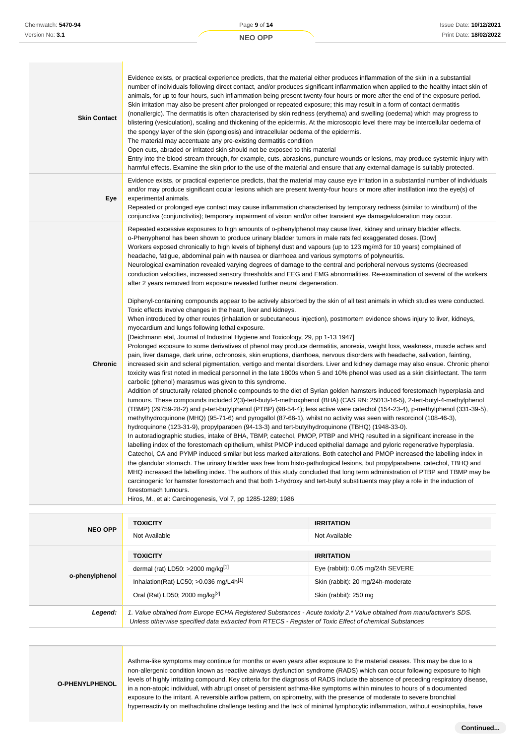| <b>Skin Contact</b> | Evidence exists, or practical experience predicts, that the material either produces inflammation of the skin in a substantial<br>number of individuals following direct contact, and/or produces significant inflammation when applied to the healthy intact skin of<br>animals, for up to four hours, such inflammation being present twenty-four hours or more after the end of the exposure period.<br>Skin irritation may also be present after prolonged or repeated exposure; this may result in a form of contact dermatitis<br>(nonallergic). The dermatitis is often characterised by skin redness (erythema) and swelling (oedema) which may progress to<br>blistering (vesiculation), scaling and thickening of the epidermis. At the microscopic level there may be intercellular oedema of<br>the spongy layer of the skin (spongiosis) and intracellular oedema of the epidermis.<br>The material may accentuate any pre-existing dermatitis condition<br>Open cuts, abraded or irritated skin should not be exposed to this material<br>Entry into the blood-stream through, for example, cuts, abrasions, puncture wounds or lesions, may produce systemic injury with<br>harmful effects. Examine the skin prior to the use of the material and ensure that any external damage is suitably protected.                                                                                                                                                                                                                                                                                                                                                                                                                                                                                                                                                                                                                                                                                                                                                                                                                                                                                                                                                                                                                                                                                                                                                                                                                                                                                                                                                                                                                                                                                                                                                                                                                                                                                                                                                                                                                                                                                                                                                                                                                                                     |
|---------------------|------------------------------------------------------------------------------------------------------------------------------------------------------------------------------------------------------------------------------------------------------------------------------------------------------------------------------------------------------------------------------------------------------------------------------------------------------------------------------------------------------------------------------------------------------------------------------------------------------------------------------------------------------------------------------------------------------------------------------------------------------------------------------------------------------------------------------------------------------------------------------------------------------------------------------------------------------------------------------------------------------------------------------------------------------------------------------------------------------------------------------------------------------------------------------------------------------------------------------------------------------------------------------------------------------------------------------------------------------------------------------------------------------------------------------------------------------------------------------------------------------------------------------------------------------------------------------------------------------------------------------------------------------------------------------------------------------------------------------------------------------------------------------------------------------------------------------------------------------------------------------------------------------------------------------------------------------------------------------------------------------------------------------------------------------------------------------------------------------------------------------------------------------------------------------------------------------------------------------------------------------------------------------------------------------------------------------------------------------------------------------------------------------------------------------------------------------------------------------------------------------------------------------------------------------------------------------------------------------------------------------------------------------------------------------------------------------------------------------------------------------------------------------------------------------------------------------------------------------------------------------------------------------------------------------------------------------------------------------------------------------------------------------------------------------------------------------------------------------------------------------------------------------------------------------------------------------------------------------------------------------------------------------------------------------------------------------------------------------------------------------|
| Eye                 | Evidence exists, or practical experience predicts, that the material may cause eye irritation in a substantial number of individuals<br>and/or may produce significant ocular lesions which are present twenty-four hours or more after instillation into the eye(s) of<br>experimental animals.<br>Repeated or prolonged eye contact may cause inflammation characterised by temporary redness (similar to windburn) of the<br>conjunctiva (conjunctivitis); temporary impairment of vision and/or other transient eye damage/ulceration may occur.                                                                                                                                                                                                                                                                                                                                                                                                                                                                                                                                                                                                                                                                                                                                                                                                                                                                                                                                                                                                                                                                                                                                                                                                                                                                                                                                                                                                                                                                                                                                                                                                                                                                                                                                                                                                                                                                                                                                                                                                                                                                                                                                                                                                                                                                                                                                                                                                                                                                                                                                                                                                                                                                                                                                                                                                                         |
| <b>Chronic</b>      | Repeated excessive exposures to high amounts of o-phenylphenol may cause liver, kidney and urinary bladder effects.<br>o-Phenyphenol has been shown to produce urinary bladder tumors in male rats fed exaggerated doses. [Dow]<br>Workers exposed chronically to high levels of biphenyl dust and vapours (up to 123 mg/m3 for 10 years) complained of<br>headache, fatigue, abdominal pain with nausea or diarrhoea and various symptoms of polyneuritis.<br>Neurological examination revealed varying degrees of damage to the central and peripheral nervous systems (decreased<br>conduction velocities, increased sensory thresholds and EEG and EMG abnormalities. Re-examination of several of the workers<br>after 2 years removed from exposure revealed further neural degeneration.<br>Diphenyl-containing compounds appear to be actively absorbed by the skin of all test animals in which studies were conducted.<br>Toxic effects involve changes in the heart, liver and kidneys.<br>When introduced by other routes (inhalation or subcutaneous injection), postmortem evidence shows injury to liver, kidneys,<br>myocardium and lungs following lethal exposure.<br>[Deichmann etal, Journal of Industrial Hygiene and Toxicology, 29, pp 1-13 1947]<br>Prolonged exposure to some derivatives of phenol may produce dermatitis, anorexia, weight loss, weakness, muscle aches and<br>pain, liver damage, dark urine, ochronosis, skin eruptions, diarrhoea, nervous disorders with headache, salivation, fainting,<br>increased skin and scleral pigmentation, vertigo and mental disorders. Liver and kidney damage may also ensue. Chronic phenol<br>toxicity was first noted in medical personnel in the late 1800s when 5 and 10% phenol was used as a skin disinfectant. The term<br>carbolic (phenol) marasmus was given to this syndrome.<br>Addition of structurally related phenolic compounds to the diet of Syrian golden hamsters induced forestomach hyperplasia and<br>tumours. These compounds included 2(3)-tert-butyl-4-methoxphenol (BHA) (CAS RN: 25013-16-5), 2-tert-butyl-4-methylphenol<br>(TBMP) (29759-28-2) and p-tert-butylphenol (PTBP) (98-54-4); less active were catechol (154-23-4), p-methylphenol (331-39-5),<br>methylhydroquinone (MHQ) (95-71-6) and pyrogallol (87-66-1), whilst no activity was seen with resorcinol (108-46-3),<br>hydroquinone (123-31-9), propylparaben (94-13-3) and tert-butylhydroquinone (TBHQ) (1948-33-0).<br>In autoradiographic studies, intake of BHA, TBMP, catechol, PMOP, PTBP and MHQ resulted in a significant increase in the<br>labelling index of the forestomach epithelium, whilst PMOP induced epithelial damage and pyloric regenerative hyperplasia.<br>Catechol, CA and PYMP induced similar but less marked alterations. Both catechol and PMOP increased the labelling index in<br>the glandular stomach. The urinary bladder was free from histo-pathological lesions, but propylparabene, catechol, TBHQ and<br>MHQ increased the labelling index. The authors of this study concluded that long term administration of PTBP and TBMP may be<br>carcinogenic for hamster forestomach and that both 1-hydroxy and tert-butyl substituents may play a role in the induction of<br>forestomach tumours.<br>Hiros, M., et al: Carcinogenesis, Vol 7, pp 1285-1289; 1986 |

|                | <b>TOXICITY</b>                                                                                        | <b>IRRITATION</b>                                                                                                     |
|----------------|--------------------------------------------------------------------------------------------------------|-----------------------------------------------------------------------------------------------------------------------|
| <b>NEO OPP</b> | Not Available                                                                                          | Not Available                                                                                                         |
|                | <b>TOXICITY</b>                                                                                        | <b>IRRITATION</b>                                                                                                     |
| o-phenylphenol | dermal (rat) LD50: >2000 mg/kg <sup>[1]</sup>                                                          | Eye (rabbit): 0.05 mg/24h SEVERE                                                                                      |
|                | Inhalation(Rat) LC50; $>0.036$ mg/L4h <sup>[1]</sup>                                                   | Skin (rabbit): 20 mg/24h-moderate                                                                                     |
|                | Oral (Rat) LD50; 2000 mg/kg <sup>[2]</sup>                                                             | Skin (rabbit): 250 mg                                                                                                 |
| Legend:        | Unless otherwise specified data extracted from RTECS - Register of Toxic Effect of chemical Substances | 1. Value obtained from Europe ECHA Registered Substances - Acute toxicity 2.* Value obtained from manufacturer's SDS. |

**O-PHENYLPHENOL**

Asthma-like symptoms may continue for months or even years after exposure to the material ceases. This may be due to a non-allergenic condition known as reactive airways dysfunction syndrome (RADS) which can occur following exposure to high levels of highly irritating compound. Key criteria for the diagnosis of RADS include the absence of preceding respiratory disease, in a non-atopic individual, with abrupt onset of persistent asthma-like symptoms within minutes to hours of a documented exposure to the irritant. A reversible airflow pattern, on spirometry, with the presence of moderate to severe bronchial hyperreactivity on methacholine challenge testing and the lack of minimal lymphocytic inflammation, without eosinophilia, have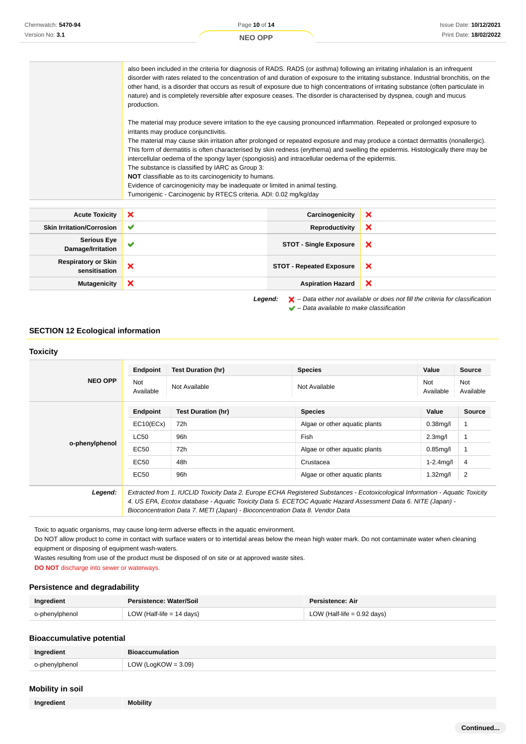| Chemwatch: 5470-94 |                                                                                                                                                                         | Page 10 of 14                                                                                                                                                                                                                                        | <b>Issue Date: 10/12/2021</b>                                                                                                                                                                                                                                                                                                                                                                                                                                                                                                                                                                                                                                                                                                                                                                                                                                                                                                                  |
|--------------------|-------------------------------------------------------------------------------------------------------------------------------------------------------------------------|------------------------------------------------------------------------------------------------------------------------------------------------------------------------------------------------------------------------------------------------------|------------------------------------------------------------------------------------------------------------------------------------------------------------------------------------------------------------------------------------------------------------------------------------------------------------------------------------------------------------------------------------------------------------------------------------------------------------------------------------------------------------------------------------------------------------------------------------------------------------------------------------------------------------------------------------------------------------------------------------------------------------------------------------------------------------------------------------------------------------------------------------------------------------------------------------------------|
| Version No: 3.1    |                                                                                                                                                                         | <b>NEO OPP</b>                                                                                                                                                                                                                                       | Print Date: 18/02/2022                                                                                                                                                                                                                                                                                                                                                                                                                                                                                                                                                                                                                                                                                                                                                                                                                                                                                                                         |
|                    | production.<br>irritants may produce conjunctivitis.<br>The substance is classified by IARC as Group 3:<br><b>NOT</b> classifiable as to its carcinogenicity to humans. | intercellular oedema of the spongy layer (spongiosis) and intracellular oedema of the epidermis.<br>Evidence of carcinogenicity may be inadequate or limited in animal testing.<br>Tumorigenic - Carcinogenic by RTECS criteria. ADI: 0.02 mg/kg/day | also been included in the criteria for diagnosis of RADS. RADS (or asthma) following an irritating inhalation is an infrequent<br>disorder with rates related to the concentration of and duration of exposure to the irritating substance. Industrial bronchitis, on the<br>other hand, is a disorder that occurs as result of exposure due to high concentrations of irritating substance (often particulate in<br>nature) and is completely reversible after exposure ceases. The disorder is characterised by dyspnea, cough and mucus<br>The material may produce severe irritation to the eye causing pronounced inflammation. Repeated or prolonged exposure to<br>The material may cause skin irritation after prolonged or repeated exposure and may produce a contact dermatitis (nonallergic).<br>This form of dermatitis is often characterised by skin redness (erythema) and swelling the epidermis. Histologically there may be |

| <b>Acute Toxicity</b>                       | $\boldsymbol{\mathsf{x}}$ | Carcinogenicity                 | × |
|---------------------------------------------|---------------------------|---------------------------------|---|
| <b>Skin Irritation/Corrosion</b>            | $\checkmark$              | Reproductivity                  | × |
| <b>Serious Eye</b><br>Damage/Irritation     | $\checkmark$              | <b>STOT - Single Exposure</b>   | × |
| <b>Respiratory or Skin</b><br>sensitisation | ×                         | <b>STOT - Repeated Exposure</b> | × |
| <b>Mutagenicity</b>                         | ×                         | <b>Aspiration Hazard</b>        | × |

Legend:  $\mathsf{X}$  – Data either not available or does not fill the criteria for classification  $\blacktriangleright$  – Data available to make classification

# **SECTION 12 Ecological information**

|                | Endpoint                | <b>Test Duration (hr)</b> | <b>Species</b>                                                                                                                | Value            | Source                  |
|----------------|-------------------------|---------------------------|-------------------------------------------------------------------------------------------------------------------------------|------------------|-------------------------|
| <b>NEO OPP</b> | <b>Not</b><br>Available | Not Available             | Not Available                                                                                                                 | Not<br>Available | <b>Not</b><br>Available |
|                | Endpoint                | <b>Test Duration (hr)</b> | <b>Species</b>                                                                                                                | Value            | <b>Source</b>           |
|                | EC10(ECx)               | 72h                       | Algae or other aquatic plants                                                                                                 | $0.38$ mg/l      | 1                       |
| o-phenylphenol | <b>LC50</b>             | 96h                       | Fish                                                                                                                          | $2.3$ mg/l       |                         |
|                | EC50                    | 72h                       | Algae or other aquatic plants                                                                                                 | $0.85$ mg/l      |                         |
|                | EC50                    | 48h                       | Crustacea                                                                                                                     | $1 - 2.4$ mg/l   | 4                       |
|                | EC50                    | 96h                       | Algae or other aquatic plants                                                                                                 | $1.32$ mg/l      | $\overline{2}$          |
| Legend:        |                         |                           | Extracted from 1. IUCLID Toxicity Data 2. Europe ECHA Registered Substances - Ecotoxicological Information - Aquatic Toxicity |                  |                         |

Toxic to aquatic organisms, may cause long-term adverse effects in the aquatic environment.

Do NOT allow product to come in contact with surface waters or to intertidal areas below the mean high water mark. Do not contaminate water when cleaning equipment or disposing of equipment wash-waters.

Wastes resulting from use of the product must be disposed of on site or at approved waste sites.

**DO NOT** discharge into sewer or waterways.

#### **Persistence and degradability**

| Ingredient     | Persistence: Water/Soil   | Persistence: Air              |
|----------------|---------------------------|-------------------------------|
| o-phenylphenol | LOW (Half-life = 14 days) | LOW (Half-life $= 0.92$ days) |

# **Bioaccumulative potential**

| Ingredient     | <b>Bioaccumulation</b> |
|----------------|------------------------|
| o-phenylphenol | LOW (LogKOW = $3.09$ ) |

# **Mobility in soil**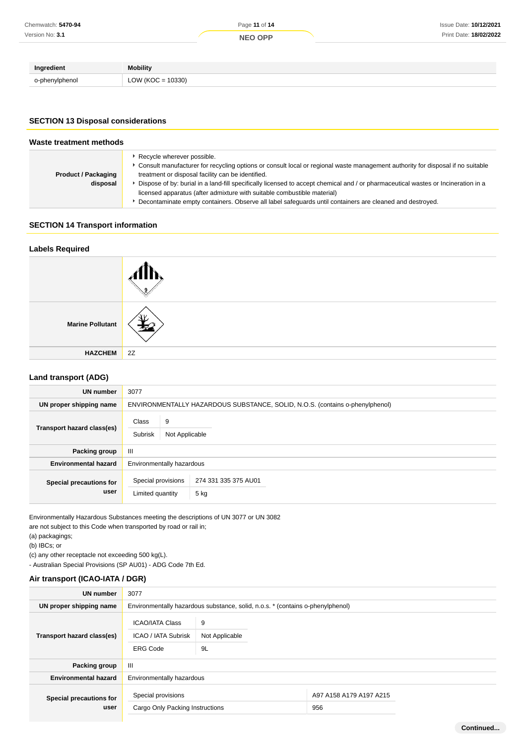| Ingredient     | <b>Mobility</b>     |
|----------------|---------------------|
| o-phenylphenol | $LOW (KOC = 10330)$ |

# **SECTION 13 Disposal considerations**

| Waste treatment methods                |                                                                                                                                                                                                                                                                                                                                                                                                                                                                                                                                                 |  |
|----------------------------------------|-------------------------------------------------------------------------------------------------------------------------------------------------------------------------------------------------------------------------------------------------------------------------------------------------------------------------------------------------------------------------------------------------------------------------------------------------------------------------------------------------------------------------------------------------|--|
| <b>Product / Packaging</b><br>disposal | Recycle wherever possible.<br>► Consult manufacturer for recycling options or consult local or regional waste management authority for disposal if no suitable<br>treatment or disposal facility can be identified.<br>Dispose of by: burial in a land-fill specifically licensed to accept chemical and / or pharmaceutical wastes or Incineration in a<br>licensed apparatus (after admixture with suitable combustible material)<br>Decontaminate empty containers. Observe all label safeguards until containers are cleaned and destroyed. |  |

# **SECTION 14 Transport information**

# **Labels Required**



# **Land transport (ADG)**

| <b>UN number</b>                | 3077                                                                     |                                                                              |  |  |
|---------------------------------|--------------------------------------------------------------------------|------------------------------------------------------------------------------|--|--|
| UN proper shipping name         |                                                                          | ENVIRONMENTALLY HAZARDOUS SUBSTANCE, SOLID, N.O.S. (contains o-phenylphenol) |  |  |
| Transport hazard class(es)      | 9<br><b>Class</b><br><b>Subrisk</b><br>Not Applicable                    |                                                                              |  |  |
| Packing group                   | $\mathbf{III}$                                                           |                                                                              |  |  |
| <b>Environmental hazard</b>     | Environmentally hazardous                                                |                                                                              |  |  |
| Special precautions for<br>user | Special provisions<br>274 331 335 375 AU01<br>Limited quantity<br>$5$ kg |                                                                              |  |  |

Environmentally Hazardous Substances meeting the descriptions of UN 3077 or UN 3082 are not subject to this Code when transported by road or rail in;

(a) packagings;

(b) IBCs; or

(c) any other receptacle not exceeding 500 kg(L).

- Australian Special Provisions (SP AU01) - ADG Code 7th Ed.

# **Air transport (ICAO-IATA / DGR)**

| <b>UN number</b>                | 3077                                                                           |                           |                                |  |
|---------------------------------|--------------------------------------------------------------------------------|---------------------------|--------------------------------|--|
| UN proper shipping name         | Environmentally hazardous substance, solid, n.o.s. * (contains o-phenylphenol) |                           |                                |  |
| Transport hazard class(es)      | <b>ICAO/IATA Class</b><br><b>ICAO / IATA Subrisk</b><br><b>ERG Code</b>        | 9<br>Not Applicable<br>9L |                                |  |
| Packing group                   | $\mathbf{III}$                                                                 |                           |                                |  |
| <b>Environmental hazard</b>     | Environmentally hazardous                                                      |                           |                                |  |
| Special precautions for<br>user | Special provisions<br>Cargo Only Packing Instructions                          |                           | A97 A158 A179 A197 A215<br>956 |  |

**Continued...**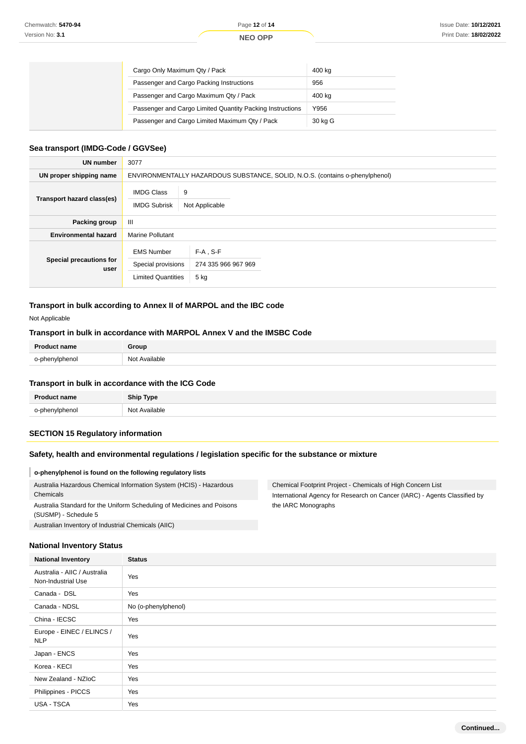| Cargo Only Maximum Qty / Pack                             | 400 kg  |
|-----------------------------------------------------------|---------|
| Passenger and Cargo Packing Instructions                  | 956     |
| Passenger and Cargo Maximum Qty / Pack                    | 400 kg  |
| Passenger and Cargo Limited Quantity Packing Instructions | Y956    |
| Passenger and Cargo Limited Maximum Qty / Pack            | 30 kg G |

#### **Sea transport (IMDG-Code / GGVSee)**

| <b>UN number</b>                | 3077                                                                 |                                                                              |  |  |
|---------------------------------|----------------------------------------------------------------------|------------------------------------------------------------------------------|--|--|
| UN proper shipping name         |                                                                      | ENVIRONMENTALLY HAZARDOUS SUBSTANCE, SOLID, N.O.S. (contains o-phenylphenol) |  |  |
| Transport hazard class(es)      | 9<br><b>IMDG Class</b><br><b>IMDG Subrisk</b><br>Not Applicable      |                                                                              |  |  |
| <b>Packing group</b>            | Ш                                                                    |                                                                              |  |  |
| <b>Environmental hazard</b>     | <b>Marine Pollutant</b>                                              |                                                                              |  |  |
| Special precautions for<br>user | <b>EMS Number</b><br>Special provisions<br><b>Limited Quantities</b> | $F-A$ , S-F<br>274 335 966 967 969<br>5 kg                                   |  |  |

# **Transport in bulk according to Annex II of MARPOL and the IBC code**

Not Applicable

# **Transport in bulk in accordance with MARPOL Annex V and the IMSBC Code**

| <b>Product name</b> | Group         |
|---------------------|---------------|
| o-phenylphenol      | Not Available |

# **Transport in bulk in accordance with the ICG Code**

| <b>Product name</b> | <b>Ship Type</b> |
|---------------------|------------------|
| o-phenylphenol      | Not Available    |

# **SECTION 15 Regulatory information**

# **Safety, health and environmental regulations / legislation specific for the substance or mixture**

#### **o-phenylphenol is found on the following regulatory lists** Australia Hazardous Chemical Information System (HCIS) - Hazardous Chemicals Australia Standard for the Uniform Scheduling of Medicines and Poisons (SUSMP) - Schedule 5 Chemical Footprint Project - Chemicals of High Concern List International Agency for Research on Cancer (IARC) - Agents Classified by the IARC Monographs

Australian Inventory of Industrial Chemicals (AIIC)

# **National Inventory Status**

| <b>National Inventory</b>                          | <b>Status</b>       |  |  |
|----------------------------------------------------|---------------------|--|--|
| Australia - AIIC / Australia<br>Non-Industrial Use | Yes                 |  |  |
| Canada - DSL                                       | Yes                 |  |  |
| Canada - NDSL                                      | No (o-phenylphenol) |  |  |
| China - IECSC                                      | Yes                 |  |  |
| Europe - EINEC / ELINCS /<br><b>NLP</b>            | Yes                 |  |  |
| Japan - ENCS                                       | Yes                 |  |  |
| Korea - KECI                                       | Yes                 |  |  |
| New Zealand - NZIoC                                | Yes                 |  |  |
| Philippines - PICCS                                | Yes                 |  |  |
| USA - TSCA                                         | Yes                 |  |  |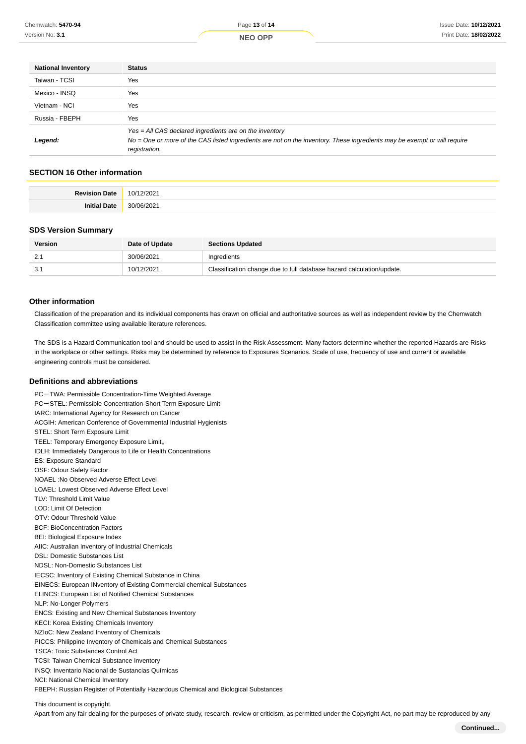| <b>National Inventory</b> | <b>Status</b>                                                                                                                             |  |  |
|---------------------------|-------------------------------------------------------------------------------------------------------------------------------------------|--|--|
| Taiwan - TCSI             | Yes                                                                                                                                       |  |  |
| Mexico - INSQ             | Yes                                                                                                                                       |  |  |
| Vietnam - NCI             | Yes                                                                                                                                       |  |  |
| Russia - FBEPH            | Yes                                                                                                                                       |  |  |
|                           | $Yes = All CAS declared ingredients are on the inventory$                                                                                 |  |  |
| Legend:                   | No = One or more of the CAS listed ingredients are not on the inventory. These ingredients may be exempt or will require<br>registration. |  |  |

### **SECTION 16 Other information**

| $P_{\text{atm}}$ |  |
|------------------|--|
|                  |  |

#### **SDS Version Summary**

| <b>Version</b> | Date of Update | <b>Sections Updated</b>                                               |
|----------------|----------------|-----------------------------------------------------------------------|
| <u></u>        | 30/06/2021     | Ingredients                                                           |
| 3.1            | 10/12/2021     | Classification change due to full database hazard calculation/update. |

#### **Other information**

Classification of the preparation and its individual components has drawn on official and authoritative sources as well as independent review by the Chemwatch Classification committee using available literature references.

The SDS is a Hazard Communication tool and should be used to assist in the Risk Assessment. Many factors determine whether the reported Hazards are Risks in the workplace or other settings. Risks may be determined by reference to Exposures Scenarios. Scale of use, frequency of use and current or available engineering controls must be considered.

#### **Definitions and abbreviations**

PC-TWA: Permissible Concentration-Time Weighted Average PC-STEL: Permissible Concentration-Short Term Exposure Limit IARC: International Agency for Research on Cancer ACGIH: American Conference of Governmental Industrial Hygienists STEL: Short Term Exposure Limit TEEL: Temporary Emergency Exposure Limit。 IDLH: Immediately Dangerous to Life or Health Concentrations ES: Exposure Standard OSF: Odour Safety Factor NOAEL :No Observed Adverse Effect Level LOAEL: Lowest Observed Adverse Effect Level TLV: Threshold Limit Value LOD: Limit Of Detection OTV: Odour Threshold Value BCF: BioConcentration Factors BEI: Biological Exposure Index AIIC: Australian Inventory of Industrial Chemicals DSL: Domestic Substances List NDSL: Non-Domestic Substances List IECSC: Inventory of Existing Chemical Substance in China EINECS: European INventory of Existing Commercial chemical Substances ELINCS: European List of Notified Chemical Substances NLP: No-Longer Polymers ENCS: Existing and New Chemical Substances Inventory KECI: Korea Existing Chemicals Inventory NZIoC: New Zealand Inventory of Chemicals PICCS: Philippine Inventory of Chemicals and Chemical Substances TSCA: Toxic Substances Control Act TCSI: Taiwan Chemical Substance Inventory INSQ: Inventario Nacional de Sustancias Químicas NCI: National Chemical Inventory FBEPH: Russian Register of Potentially Hazardous Chemical and Biological Substances

This document is copyright.

Apart from any fair dealing for the purposes of private study, research, review or criticism, as permitted under the Copyright Act, no part may be reproduced by any